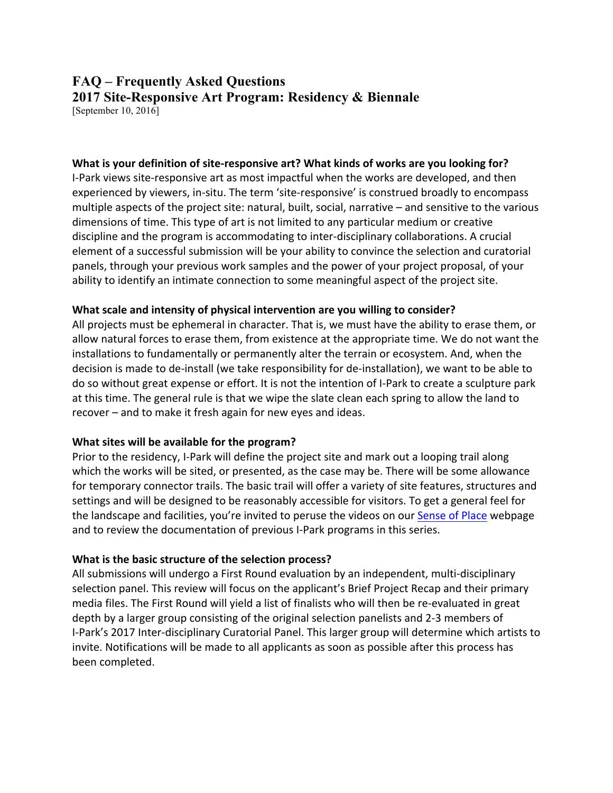# **FAQ – Frequently Asked Questions 2017 Site-Responsive Art Program: Residency & Biennale**

[September 10, 2016]

#### **What is your definition of site-responsive art? What kinds of works are you looking for?**

I-Park views site-responsive art as most impactful when the works are developed, and then experienced by viewers, in-situ. The term 'site-responsive' is construed broadly to encompass multiple aspects of the project site: natural, built, social, narrative – and sensitive to the various dimensions of time. This type of art is not limited to any particular medium or creative discipline and the program is accommodating to inter-disciplinary collaborations. A crucial element of a successful submission will be your ability to convince the selection and curatorial panels, through your previous work samples and the power of your project proposal, of your ability to identify an intimate connection to some meaningful aspect of the project site.

#### **What scale and intensity of physical intervention are you willing to consider?**

All projects must be ephemeral in character. That is, we must have the ability to erase them, or allow natural forces to erase them, from existence at the appropriate time. We do not want the installations to fundamentally or permanently alter the terrain or ecosystem. And, when the decision is made to de-install (we take responsibility for de-installation), we want to be able to do so without great expense or effort. It is not the intention of I-Park to create a sculpture park at this time. The general rule is that we wipe the slate clean each spring to allow the land to recover – and to make it fresh again for new eyes and ideas.

# **What sites will be available for the program?**

Prior to the residency, I-Park will define the project site and mark out a looping trail along which the works will be sited, or presented, as the case may be. There will be some allowance for temporary connector trails. The basic trail will offer a variety of site features, structures and settings and will be designed to be reasonably accessible for visitors. To get a general feel for the landscape and facilities, you're invited to peruse the videos on our Sense of Place webpage and to review the documentation of previous I-Park programs in this series.

# **What is the basic structure of the selection process?**

All submissions will undergo a First Round evaluation by an independent, multi-disciplinary selection panel. This review will focus on the applicant's Brief Project Recap and their primary media files. The First Round will yield a list of finalists who will then be re-evaluated in great depth by a larger group consisting of the original selection panelists and 2-3 members of I-Park's 2017 Inter-disciplinary Curatorial Panel. This larger group will determine which artists to invite. Notifications will be made to all applicants as soon as possible after this process has been completed.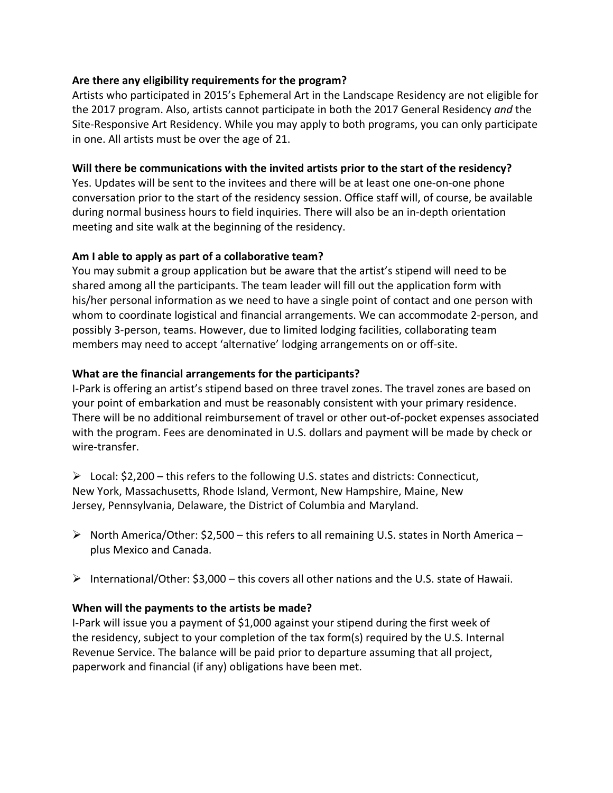### **Are there any eligibility requirements for the program?**

Artists who participated in 2015's Ephemeral Art in the Landscape Residency are not eligible for the 2017 program. Also, artists cannot participate in both the 2017 General Residency *and* the Site-Responsive Art Residency. While you may apply to both programs, you can only participate in one. All artists must be over the age of 21.

#### **Will there be communications with the invited artists prior to the start of the residency?**

Yes. Updates will be sent to the invitees and there will be at least one one-on-one phone conversation prior to the start of the residency session. Office staff will, of course, be available during normal business hours to field inquiries. There will also be an in-depth orientation meeting and site walk at the beginning of the residency.

#### **Am I able to apply as part of a collaborative team?**

You may submit a group application but be aware that the artist's stipend will need to be shared among all the participants. The team leader will fill out the application form with his/her personal information as we need to have a single point of contact and one person with whom to coordinate logistical and financial arrangements. We can accommodate 2-person, and possibly 3-person, teams. However, due to limited lodging facilities, collaborating team members may need to accept 'alternative' lodging arrangements on or off-site.

# **What are the financial arrangements for the participants?**

I-Park is offering an artist's stipend based on three travel zones. The travel zones are based on your point of embarkation and must be reasonably consistent with your primary residence. There will be no additional reimbursement of travel or other out-of-pocket expenses associated with the program. Fees are denominated in U.S. dollars and payment will be made by check or wire-transfer.

 $\triangleright$  Local: \$2,200 – this refers to the following U.S. states and districts: Connecticut, New York, Massachusetts, Rhode Island, Vermont, New Hampshire, Maine, New Jersey, Pennsylvania, Delaware, the District of Columbia and Maryland.

- $\triangleright$  North America/Other: \$2,500 this refers to all remaining U.S. states in North America plus Mexico and Canada.
- $\triangleright$  International/Other: \$3,000 this covers all other nations and the U.S. state of Hawaii.

# **When will the payments to the artists be made?**

I-Park will issue you a payment of \$1,000 against your stipend during the first week of the residency, subject to your completion of the tax form(s) required by the U.S. Internal Revenue Service. The balance will be paid prior to departure assuming that all project, paperwork and financial (if any) obligations have been met.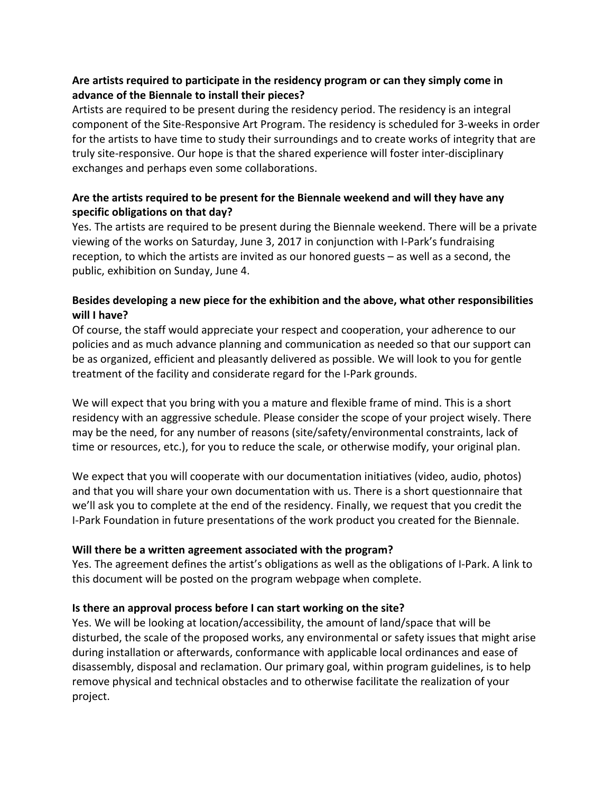# **Are artists required to participate in the residency program or can they simply come in advance of the Biennale to install their pieces?**

Artists are required to be present during the residency period. The residency is an integral component of the Site-Responsive Art Program. The residency is scheduled for 3-weeks in order for the artists to have time to study their surroundings and to create works of integrity that are truly site-responsive. Our hope is that the shared experience will foster inter-disciplinary exchanges and perhaps even some collaborations.

# **Are the artists required to be present for the Biennale weekend and will they have any specific obligations on that day?**

Yes. The artists are required to be present during the Biennale weekend. There will be a private viewing of the works on Saturday, June 3, 2017 in conjunction with I-Park's fundraising reception, to which the artists are invited as our honored guests – as well as a second, the public, exhibition on Sunday, June 4.

# **Besides developing a new piece for the exhibition and the above, what other responsibilities will I have?**

Of course, the staff would appreciate your respect and cooperation, your adherence to our policies and as much advance planning and communication as needed so that our support can be as organized, efficient and pleasantly delivered as possible. We will look to you for gentle treatment of the facility and considerate regard for the I-Park grounds.

We will expect that you bring with you a mature and flexible frame of mind. This is a short residency with an aggressive schedule. Please consider the scope of your project wisely. There may be the need, for any number of reasons (site/safety/environmental constraints, lack of time or resources, etc.), for you to reduce the scale, or otherwise modify, your original plan.

We expect that you will cooperate with our documentation initiatives (video, audio, photos) and that you will share your own documentation with us. There is a short questionnaire that we'll ask you to complete at the end of the residency. Finally, we request that you credit the I-Park Foundation in future presentations of the work product you created for the Biennale.

# **Will there be a written agreement associated with the program?**

Yes. The agreement defines the artist's obligations as well as the obligations of I-Park. A link to this document will be posted on the program webpage when complete.

# **Is there an approval process before I can start working on the site?**

Yes. We will be looking at location/accessibility, the amount of land/space that will be disturbed, the scale of the proposed works, any environmental or safety issues that might arise during installation or afterwards, conformance with applicable local ordinances and ease of disassembly, disposal and reclamation. Our primary goal, within program guidelines, is to help remove physical and technical obstacles and to otherwise facilitate the realization of your project.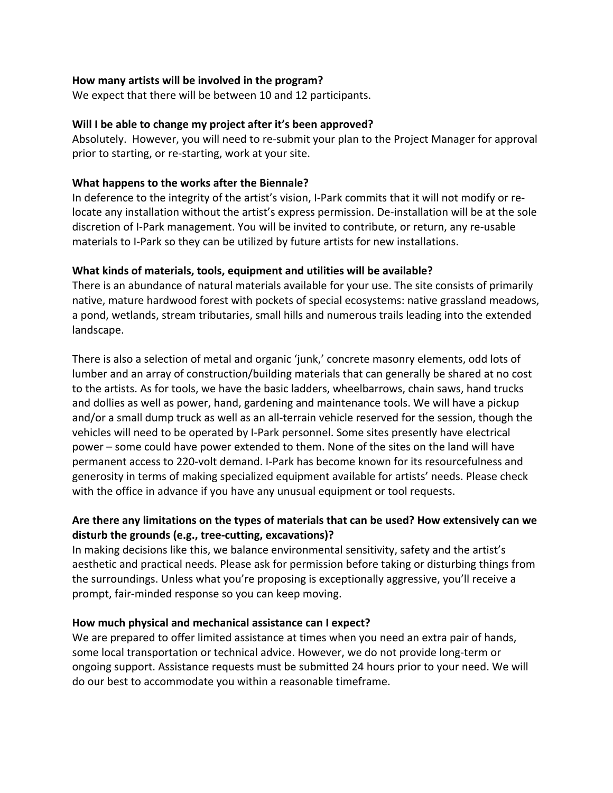#### **How many artists will be involved in the program?**

We expect that there will be between 10 and 12 participants.

#### **Will I be able to change my project after it's been approved?**

Absolutely. However, you will need to re-submit your plan to the Project Manager for approval prior to starting, or re-starting, work at your site.

#### **What happens to the works after the Biennale?**

In deference to the integrity of the artist's vision, I-Park commits that it will not modify or relocate any installation without the artist's express permission. De-installation will be at the sole discretion of I-Park management. You will be invited to contribute, or return, any re-usable materials to I-Park so they can be utilized by future artists for new installations.

#### **What kinds of materials, tools, equipment and utilities will be available?**

There is an abundance of natural materials available for your use. The site consists of primarily native, mature hardwood forest with pockets of special ecosystems: native grassland meadows, a pond, wetlands, stream tributaries, small hills and numerous trails leading into the extended landscape.

There is also a selection of metal and organic 'junk,' concrete masonry elements, odd lots of lumber and an array of construction/building materials that can generally be shared at no cost to the artists. As for tools, we have the basic ladders, wheelbarrows, chain saws, hand trucks and dollies as well as power, hand, gardening and maintenance tools. We will have a pickup and/or a small dump truck as well as an all-terrain vehicle reserved for the session, though the vehicles will need to be operated by I-Park personnel. Some sites presently have electrical power – some could have power extended to them. None of the sites on the land will have permanent access to 220-volt demand. I-Park has become known for its resourcefulness and generosity in terms of making specialized equipment available for artists' needs. Please check with the office in advance if you have any unusual equipment or tool requests.

# **Are there any limitations on the types of materials that can be used? How extensively can we disturb the grounds (e.g., tree-cutting, excavations)?**

In making decisions like this, we balance environmental sensitivity, safety and the artist's aesthetic and practical needs. Please ask for permission before taking or disturbing things from the surroundings. Unless what you're proposing is exceptionally aggressive, you'll receive a prompt, fair-minded response so you can keep moving.

#### **How much physical and mechanical assistance can I expect?**

We are prepared to offer limited assistance at times when you need an extra pair of hands, some local transportation or technical advice. However, we do not provide long-term or ongoing support. Assistance requests must be submitted 24 hours prior to your need. We will do our best to accommodate you within a reasonable timeframe.